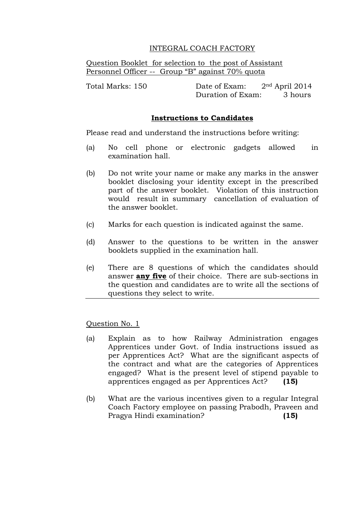# INTEGRAL COACH FACTORY

Question Booklet for selection to the post of Assistant Personnel Officer -- Group "B" against 70% quota

Total Marks: 150 Date of Exam: 2nd April 2014 Duration of Exam: 3 hours

# **Instructions to Candidates**

Please read and understand the instructions before writing:

- (a) No cell phone or electronic gadgets allowed in examination hall.
- (b) Do not write your name or make any marks in the answer booklet disclosing your identity except in the prescribed part of the answer booklet. Violation of this instruction would result in summary cancellation of evaluation of the answer booklet.
- (c) Marks for each question is indicated against the same.
- (d) Answer to the questions to be written in the answer booklets supplied in the examination hall.
- (e) There are 8 questions of which the candidates should answer **any five** of their choice. There are sub-sections in the question and candidates are to write all the sections of questions they select to write.

Question No. 1

- (a) Explain as to how Railway Administration engages Apprentices under Govt. of India instructions issued as per Apprentices Act? What are the significant aspects of the contract and what are the categories of Apprentices engaged? What is the present level of stipend payable to apprentices engaged as per Apprentices Act? **(15)**
- (b) What are the various incentives given to a regular Integral Coach Factory employee on passing Prabodh, Praveen and Pragya Hindi examination? **(15)**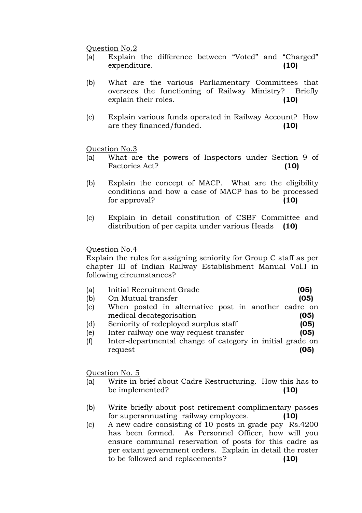#### Question No.2

- (a) Explain the difference between "Voted" and "Charged" expenditure. **(10)**
- (b) What are the various Parliamentary Committees that oversees the functioning of Railway Ministry? Briefly explain their roles. **(10)**
- (c) Explain various funds operated in Railway Account? How are they financed/funded. **(10)**

## Question No.3

- (a) What are the powers of Inspectors under Section 9 of Factories Act? **(10)**
- (b) Explain the concept of MACP. What are the eligibility conditions and how a case of MACP has to be processed for approval? **(10)**
- (c) Explain in detail constitution of CSBF Committee and distribution of per capita under various Heads **(10)**

## Question No.4

Explain the rules for assigning seniority for Group C staff as per chapter III of Indian Railway Establishment Manual Vol.I in following circumstances?

| (a) | Initial Recruitment Grade | (05) |
|-----|---------------------------|------|
| (b) | On Mutual transfer        | (05) |

- (c) When posted in alternative post in another cadre on medical decategorisation **(05)**
- (d) Seniority of redeployed surplus staff **(05)**
- (e) Inter railway one way request transfer **(05)**
- (f) Inter-departmental change of category in initial grade on request **(05)**

Question No. 5

- (a) Write in brief about Cadre Restructuring. How this has to be implemented? **(10)**
- (b) Write briefly about post retirement complimentary passes for superannuating railway employees. **(10)**
- (c) A new cadre consisting of 10 posts in grade pay Rs.4200 has been formed. As Personnel Officer, how will you ensure communal reservation of posts for this cadre as per extant government orders. Explain in detail the roster to be followed and replacements? **(10)**